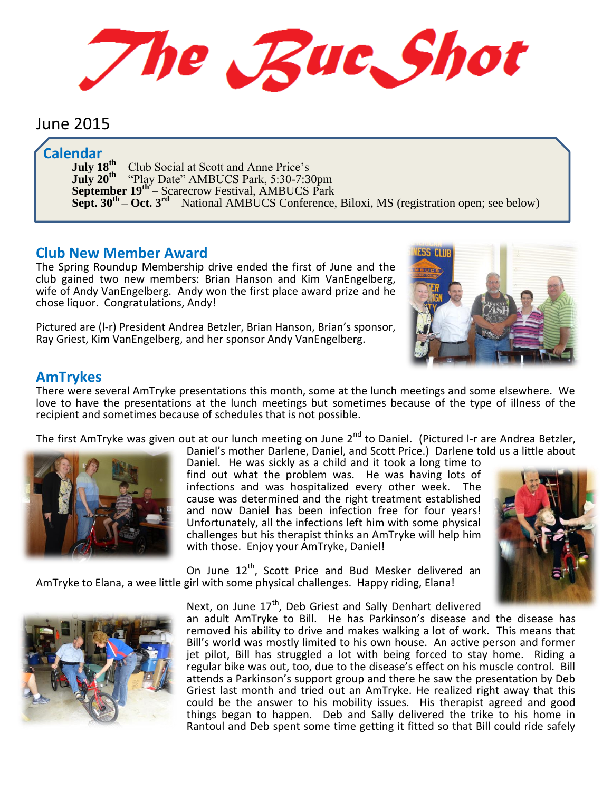The Rue Shot

## June 2015

## **Calendar**

**July**  $18^{th}$  – Club Social at Scott and Anne Price's **July 20<sup>th</sup>** – "Play Date" AMBUCS Park, 5:30-7:30pm **September 19<sup>th</sup>** – Scarecrow Festival, AMBUCS Park **Sept. 30th – Oct. 3 rd** – National AMBUCS Conference, Biloxi, MS (registration open; see below)

### **Club New Member Award**

The Spring Roundup Membership drive ended the first of June and the club gained two new members: Brian Hanson and Kim VanEngelberg, wife of Andy VanEngelberg. Andy won the first place award prize and he chose liquor. Congratulations, Andy!

Pictured are (l-r) President Andrea Betzler, Brian Hanson, Brian's sponsor, Ray Griest, Kim VanEngelberg, and her sponsor Andy VanEngelberg.



### **AmTrykes**

There were several AmTryke presentations this month, some at the lunch meetings and some elsewhere. We love to have the presentations at the lunch meetings but sometimes because of the type of illness of the recipient and sometimes because of schedules that is not possible.

The first AmTryke was given out at our lunch meeting on June 2<sup>nd</sup> to Daniel. (Pictured I-r are Andrea Betzler,



Daniel's mother Darlene, Daniel, and Scott Price.) Darlene told us a little about Daniel. He was sickly as a child and it took a long time to find out what the problem was. He was having lots of infections and was hospitalized every other week. The cause was determined and the right treatment established and now Daniel has been infection free for four years! Unfortunately, all the infections left him with some physical challenges but his therapist thinks an AmTryke will help him with those. Enjoy your AmTryke, Daniel!



On June 12<sup>th</sup>, Scott Price and Bud Mesker delivered an AmTryke to Elana, a wee little girl with some physical challenges. Happy riding, Elana!



Next, on June 17<sup>th</sup>, Deb Griest and Sally Denhart delivered

an adult AmTryke to Bill. He has Parkinson's disease and the disease has removed his ability to drive and makes walking a lot of work. This means that Bill's world was mostly limited to his own house. An active person and former jet pilot, Bill has struggled a lot with being forced to stay home. Riding a regular bike was out, too, due to the disease's effect on his muscle control. Bill attends a Parkinson's support group and there he saw the presentation by Deb Griest last month and tried out an AmTryke. He realized right away that this could be the answer to his mobility issues. His therapist agreed and good things began to happen. Deb and Sally delivered the trike to his home in Rantoul and Deb spent some time getting it fitted so that Bill could ride safely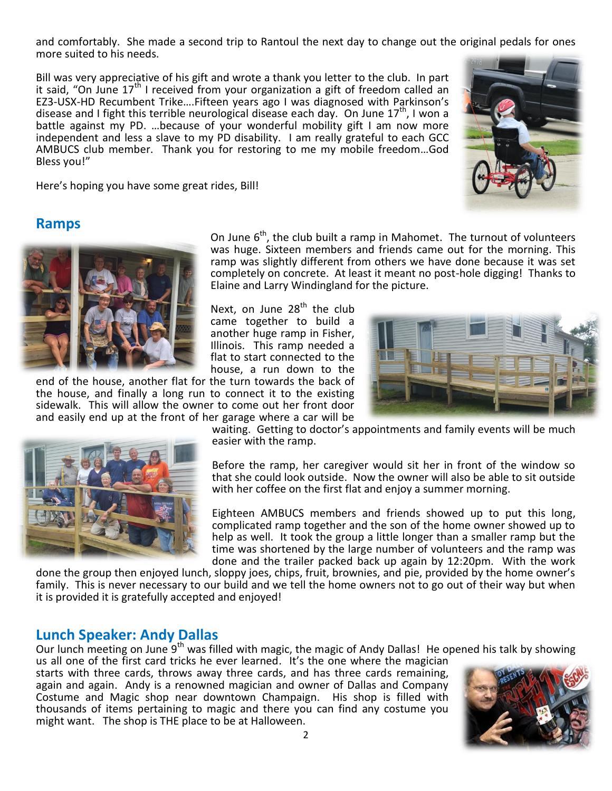and comfortably. She made a second trip to Rantoul the next day to change out the original pedals for ones more suited to his needs.

Bill was very appreciative of his gift and wrote a thank you letter to the club. In part it said, "On June 17<sup>th</sup> I received from your organization a gift of freedom called an EZ3-USX-HD Recumbent Trike….Fifteen years ago I was diagnosed with Parkinson's disease and I fight this terrible neurological disease each day. On June  $17<sup>th</sup>$ , I won a battle against my PD. ... because of your wonderful mobility gift I am now more independent and less a slave to my PD disability. I am really grateful to each GCC AMBUCS club member. Thank you for restoring to me my mobile freedom…God Bless you!"



Here's hoping you have some great rides, Bill!

## **Ramps**



On June  $6<sup>th</sup>$ , the club built a ramp in Mahomet. The turnout of volunteers was huge. Sixteen members and friends came out for the morning. This ramp was slightly different from others we have done because it was set completely on concrete. At least it meant no post-hole digging! Thanks to Elaine and Larry Windingland for the picture.

Next, on June  $28<sup>th</sup>$  the club came together to build a another huge ramp in Fisher, Illinois. This ramp needed a flat to start connected to the house, a run down to the

end of the house, another flat for the turn towards the back of the house, and finally a long run to connect it to the existing sidewalk. This will allow the owner to come out her front door and easily end up at the front of her garage where a car will be





waiting. Getting to doctor's appointments and family events will be much easier with the ramp.

Before the ramp, her caregiver would sit her in front of the window so that she could look outside. Now the owner will also be able to sit outside with her coffee on the first flat and enjoy a summer morning.

Eighteen AMBUCS members and friends showed up to put this long, complicated ramp together and the son of the home owner showed up to help as well. It took the group a little longer than a smaller ramp but the time was shortened by the large number of volunteers and the ramp was done and the trailer packed back up again by 12:20pm. With the work

done the group then enjoyed lunch, sloppy joes, chips, fruit, brownies, and pie, provided by the home owner's family. This is never necessary to our build and we tell the home owners not to go out of their way but when it is provided it is gratefully accepted and enjoyed!

# **Lunch Speaker: Andy Dallas**

Our lunch meeting on June 9<sup>th</sup> was filled with magic, the magic of Andy Dallas! He opened his talk by showing

us all one of the first card tricks he ever learned. It's the one where the magician starts with three cards, throws away three cards, and has three cards remaining, again and again. Andy is a renowned magician and owner of Dallas and Company Costume and Magic shop near downtown Champaign. His shop is filled with thousands of items pertaining to magic and there you can find any costume you might want. The shop is THE place to be at Halloween.

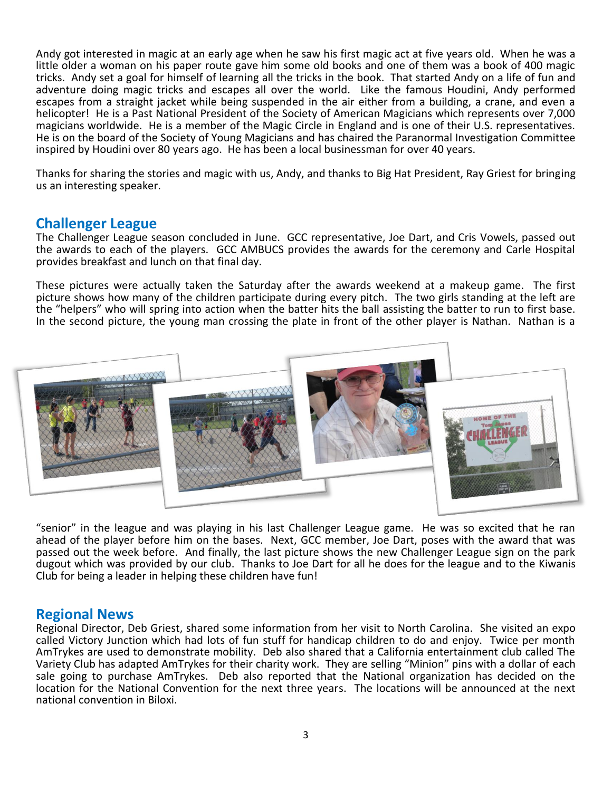Andy got interested in magic at an early age when he saw his first magic act at five years old. When he was a little older a woman on his paper route gave him some old books and one of them was a book of 400 magic tricks. Andy set a goal for himself of learning all the tricks in the book. That started Andy on a life of fun and adventure doing magic tricks and escapes all over the world. Like the famous Houdini, Andy performed escapes from a straight jacket while being suspended in the air either from a building, a crane, and even a helicopter! He is a Past National President of the Society of American Magicians which represents over 7,000 magicians worldwide. He is a member of the Magic Circle in England and is one of their U.S. representatives. He is on the board of the Society of Young Magicians and has chaired the Paranormal Investigation Committee inspired by Houdini over 80 years ago. He has been a local businessman for over 40 years.

Thanks for sharing the stories and magic with us, Andy, and thanks to Big Hat President, Ray Griest for bringing us an interesting speaker.

### **Challenger League**

The Challenger League season concluded in June. GCC representative, Joe Dart, and Cris Vowels, passed out the awards to each of the players. GCC AMBUCS provides the awards for the ceremony and Carle Hospital provides breakfast and lunch on that final day.

These pictures were actually taken the Saturday after the awards weekend at a makeup game. The first picture shows how many of the children participate during every pitch. The two girls standing at the left are the "helpers" who will spring into action when the batter hits the ball assisting the batter to run to first base. In the second picture, the young man crossing the plate in front of the other player is Nathan. Nathan is a



"senior" in the league and was playing in his last Challenger League game. He was so excited that he ran ahead of the player before him on the bases. Next, GCC member, Joe Dart, poses with the award that was passed out the week before. And finally, the last picture shows the new Challenger League sign on the park dugout which was provided by our club. Thanks to Joe Dart for all he does for the league and to the Kiwanis Club for being a leader in helping these children have fun!

#### **Regional News**

Regional Director, Deb Griest, shared some information from her visit to North Carolina. She visited an expo called Victory Junction which had lots of fun stuff for handicap children to do and enjoy. Twice per month AmTrykes are used to demonstrate mobility. Deb also shared that a California entertainment club called The Variety Club has adapted AmTrykes for their charity work. They are selling "Minion" pins with a dollar of each sale going to purchase AmTrykes. Deb also reported that the National organization has decided on the location for the National Convention for the next three years. The locations will be announced at the next national convention in Biloxi.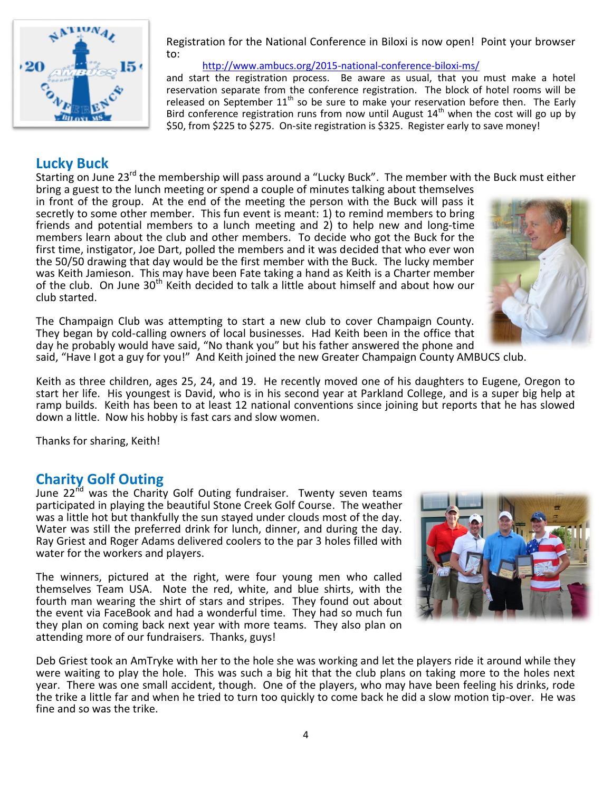

Registration for the National Conference in Biloxi is now open! Point your browser to:

[http://www.ambucs.org/2015-national-conference-biloxi-ms/](https://webmail.illinois.edu/owa/redir.aspx?SURL=wQ4rXlGDxas6WnsTkTTglGdjo5S1pqHGvZeWVCB-I962cAdLE4PSCGgAdAB0AHAAcwA6AC8ALwB1AHIAbABkAGUAZgBlAG4AcwBlAC4AcAByAG8AbwBmAHAAbwBpAG4AdAAuAGMAbwBtAC8AdgAyAC8AdQByAGwAPwB1AD0AaAB0AHQAcAAtADMAQQBfAF8AdwB3AHcALgBhAG0AYgB1AGMAcwAuAG8AcgBnAF8AMgAwADEANQAtADIARABuAGEAdABpAG8AbgBhAGwALQAyAEQAYwBvAG4AZgBlAHIAZQBuAGMAZQAtADIARABiAGkAbABvAHgAaQAtADIARABtAHMAXwAmAGQAPQBBAHcATQBGAEEAZwAmAGMAPQA4AGgAVQBXAEYAWgBjAHkAMgBaAC0AWgBhADUAcgBCAFAAbABrAHQATwBRACYAcgA9AEgATQAzAE4ARgB6AE0AMABjAGgAOAA4AFMAUQBEAEMASgBiAG0AagBRAEkAaQBaAHIAbABuAGQAUwBoAHoASwBpADYARAByAEMARwBnAE8AeABQAEUAJgBtAD0AYgBPAFEAWgBDAGIAWABWAHgASQBJAGsAbQBLAFcANwBkAFIAZgBpAFkAUwBmAGMAbgA5AHIAagB6AFMAagByAHoAYwBfAE4AUQBVAGoAaAB4AEYAawAmAHMAPQB4AGIATwA1ADIARQBkAG0AWABmAGUANgBHAEgAUQBEAFUAOABPAHIANQBjADQAUQBLADYATABoADIAZQBuAGQATQBoAHoAaQAxAGIASwBmADIAYgBFACYAZQA9AA..&URL=https%3a%2f%2furldefense.proofpoint.com%2fv2%2furl%3fu%3dhttp-3A__www.ambucs.org_2015-2Dnational-2Dconference-2Dbiloxi-2Dms_%26d%3dAwMFAg%26c%3d8hUWFZcy2Z-Za5rBPlktOQ%26r%3dHM3NFzM0ch88SQDCJbmjQIiZrlndShzKi6DrCGgOxPE%26m%3dbOQZCbXVxIIkmKW7dRfiYSfcn9rjzSjrzc_NQUjhxFk%26s%3dxbO52EdmXfe6GHQDU8Or5c4QK6Lh2endMhzi1bKf2bE%26e%3d)

and start the registration process. Be aware as usual, that you must make a hotel reservation separate from the conference registration. The block of hotel rooms will be released on September  $11<sup>th</sup>$  so be sure to make your reservation before then. The Early Bird conference registration runs from now until August  $14<sup>th</sup>$  when the cost will go up by \$50, from \$225 to \$275. On-site registration is \$325. Register early to save money!

# **Lucky Buck**

Starting on June 23<sup>rd</sup> the membership will pass around a "Lucky Buck". The member with the Buck must either bring a guest to the lunch meeting or spend a couple of minutes talking about themselves

in front of the group. At the end of the meeting the person with the Buck will pass it secretly to some other member. This fun event is meant: 1) to remind members to bring friends and potential members to a lunch meeting and 2) to help new and long-time members learn about the club and other members. To decide who got the Buck for the first time, instigator, Joe Dart, polled the members and it was decided that who ever won the 50/50 drawing that day would be the first member with the Buck. The lucky member was Keith Jamieson. This may have been Fate taking a hand as Keith is a Charter member of the club. On June 30th Keith decided to talk a little about himself and about how our club started.



The Champaign Club was attempting to start a new club to cover Champaign County. They began by cold-calling owners of local businesses. Had Keith been in the office that day he probably would have said, "No thank you" but his father answered the phone and

said, "Have I got a guy for you!" And Keith joined the new Greater Champaign County AMBUCS club.

Keith as three children, ages 25, 24, and 19. He recently moved one of his daughters to Eugene, Oregon to start her life. His youngest is David, who is in his second year at Parkland College, and is a super big help at ramp builds. Keith has been to at least 12 national conventions since joining but reports that he has slowed down a little. Now his hobby is fast cars and slow women.

Thanks for sharing, Keith!

# **Charity Golf Outing**

June 22<sup>nd</sup> was the Charity Golf Outing fundraiser. Twenty seven teams participated in playing the beautiful Stone Creek Golf Course. The weather was a little hot but thankfully the sun stayed under clouds most of the day. Water was still the preferred drink for lunch, dinner, and during the day. Ray Griest and Roger Adams delivered coolers to the par 3 holes filled with water for the workers and players.

The winners, pictured at the right, were four young men who called themselves Team USA. Note the red, white, and blue shirts, with the fourth man wearing the shirt of stars and stripes. They found out about the event via FaceBook and had a wonderful time. They had so much fun they plan on coming back next year with more teams. They also plan on attending more of our fundraisers. Thanks, guys!



Deb Griest took an AmTryke with her to the hole she was working and let the players ride it around while they were waiting to play the hole. This was such a big hit that the club plans on taking more to the holes next year. There was one small accident, though. One of the players, who may have been feeling his drinks, rode the trike a little far and when he tried to turn too quickly to come back he did a slow motion tip-over. He was fine and so was the trike.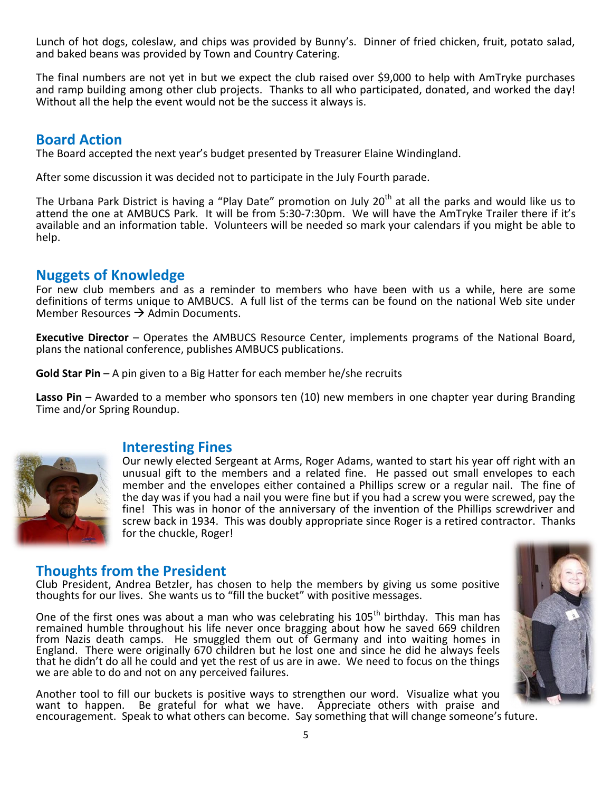Lunch of hot dogs, coleslaw, and chips was provided by Bunny's. Dinner of fried chicken, fruit, potato salad, and baked beans was provided by Town and Country Catering.

The final numbers are not yet in but we expect the club raised over \$9,000 to help with AmTryke purchases and ramp building among other club projects. Thanks to all who participated, donated, and worked the day! Without all the help the event would not be the success it always is.

## **Board Action**

The Board accepted the next year's budget presented by Treasurer Elaine Windingland.

After some discussion it was decided not to participate in the July Fourth parade.

The Urbana Park District is having a "Play Date" promotion on July 20<sup>th</sup> at all the parks and would like us to attend the one at AMBUCS Park. It will be from 5:30-7:30pm. We will have the AmTryke Trailer there if it's available and an information table. Volunteers will be needed so mark your calendars if you might be able to help.

### **Nuggets of Knowledge**

For new club members and as a reminder to members who have been with us a while, here are some definitions of terms unique to AMBUCS. A full list of the terms can be found on the national Web site under Member Resources  $\rightarrow$  Admin Documents.

**Executive Director** – Operates the AMBUCS Resource Center, implements programs of the National Board, plans the national conference, publishes AMBUCS publications.

**Gold Star Pin** – A pin given to a Big Hatter for each member he/she recruits

**Lasso Pin** – Awarded to a member who sponsors ten (10) new members in one chapter year during Branding Time and/or Spring Roundup.



#### **Interesting Fines**

Our newly elected Sergeant at Arms, Roger Adams, wanted to start his year off right with an unusual gift to the members and a related fine. He passed out small envelopes to each member and the envelopes either contained a Phillips screw or a regular nail. The fine of the day was if you had a nail you were fine but if you had a screw you were screwed, pay the fine! This was in honor of the anniversary of the invention of the Phillips screwdriver and screw back in 1934. This was doubly appropriate since Roger is a retired contractor. Thanks for the chuckle, Roger!

## **Thoughts from the President**

Club President, Andrea Betzler, has chosen to help the members by giving us some positive thoughts for our lives. She wants us to "fill the bucket" with positive messages.

One of the first ones was about a man who was celebrating his  $105<sup>th</sup>$  birthday. This man has remained humble throughout his life never once bragging about how he saved 669 children from Nazis death camps. He smuggled them out of Germany and into waiting homes in England. There were originally 670 children but he lost one and since he did he always feels that he didn't do all he could and yet the rest of us are in awe. We need to focus on the things we are able to do and not on any perceived failures.

Another tool to fill our buckets is positive ways to strengthen our word. Visualize what you want to happen. Be grateful for what we have. Appreciate others with praise and encouragement. Speak to what others can become. Say something that will change someone's future.